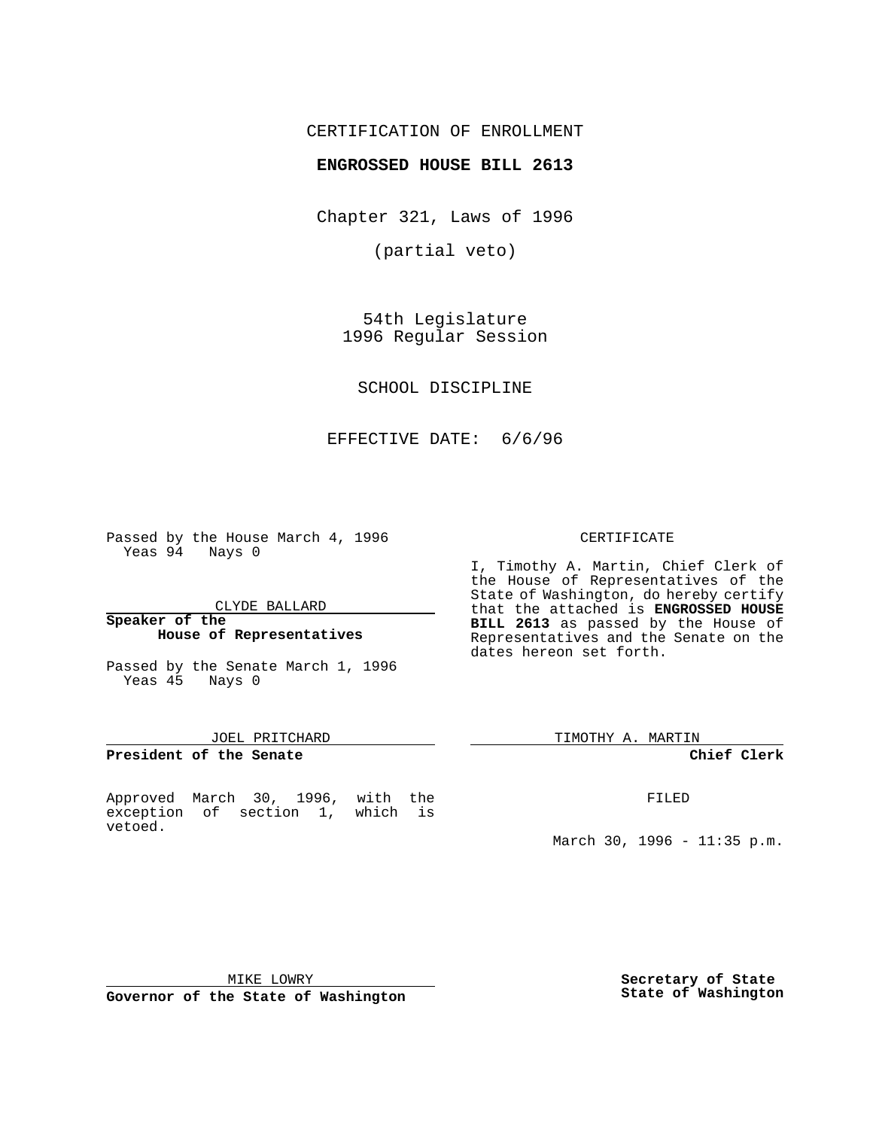# CERTIFICATION OF ENROLLMENT

## **ENGROSSED HOUSE BILL 2613**

Chapter 321, Laws of 1996

(partial veto)

54th Legislature 1996 Regular Session

SCHOOL DISCIPLINE

# EFFECTIVE DATE: 6/6/96

Passed by the House March 4, 1996 Yeas 94 Nays 0

CLYDE BALLARD

#### **Speaker of the House of Representatives**

Passed by the Senate March 1, 1996 Yeas 45 Nays 0

## JOEL PRITCHARD

**President of the Senate**

Approved March 30, 1996, with the exception of section 1, which is vetoed.

#### CERTIFICATE

I, Timothy A. Martin, Chief Clerk of the House of Representatives of the State of Washington, do hereby certify that the attached is **ENGROSSED HOUSE BILL 2613** as passed by the House of Representatives and the Senate on the dates hereon set forth.

TIMOTHY A. MARTIN

#### **Chief Clerk**

FILED

March 30, 1996 - 11:35 p.m.

MIKE LOWRY

**Governor of the State of Washington**

**Secretary of State State of Washington**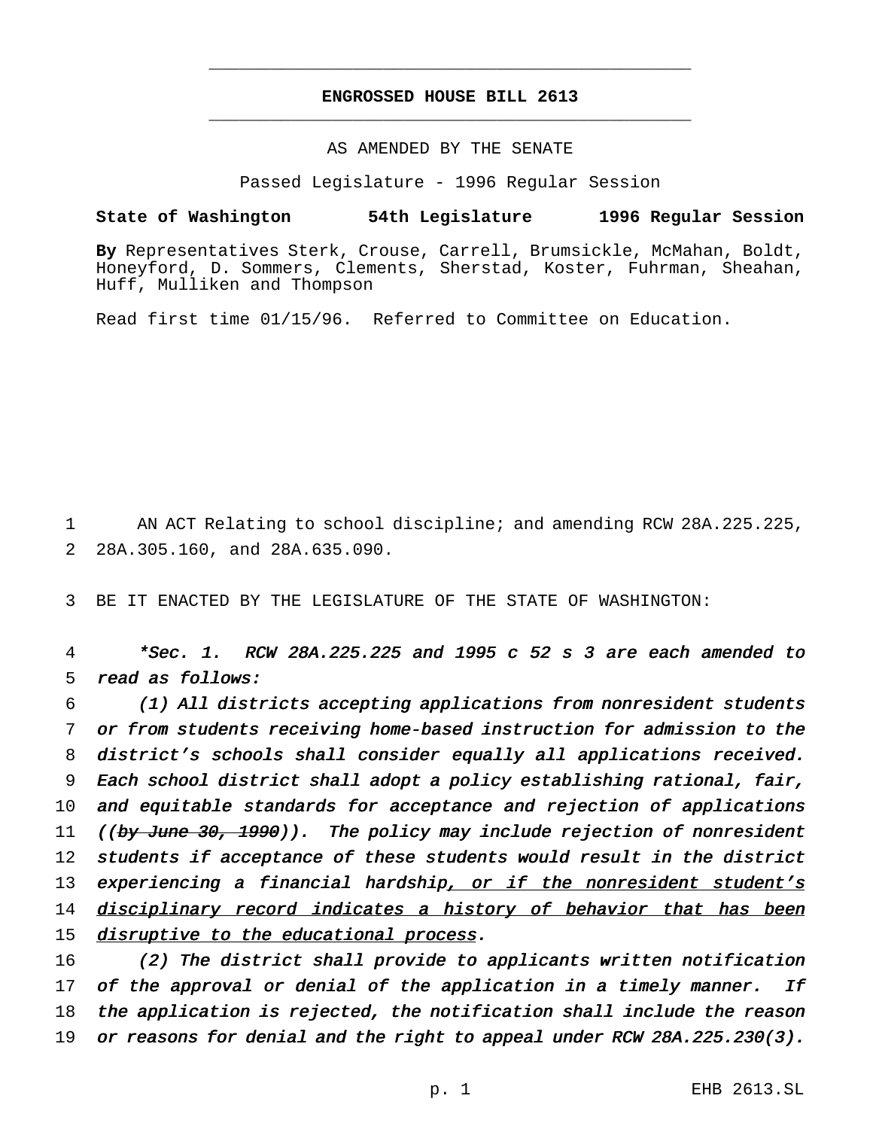# **ENGROSSED HOUSE BILL 2613** \_\_\_\_\_\_\_\_\_\_\_\_\_\_\_\_\_\_\_\_\_\_\_\_\_\_\_\_\_\_\_\_\_\_\_\_\_\_\_\_\_\_\_\_\_\_\_

\_\_\_\_\_\_\_\_\_\_\_\_\_\_\_\_\_\_\_\_\_\_\_\_\_\_\_\_\_\_\_\_\_\_\_\_\_\_\_\_\_\_\_\_\_\_\_

## AS AMENDED BY THE SENATE

Passed Legislature - 1996 Regular Session

## **State of Washington 54th Legislature 1996 Regular Session**

**By** Representatives Sterk, Crouse, Carrell, Brumsickle, McMahan, Boldt, Honeyford, D. Sommers, Clements, Sherstad, Koster, Fuhrman, Sheahan, Huff, Mulliken and Thompson

Read first time 01/15/96. Referred to Committee on Education.

1 AN ACT Relating to school discipline; and amending RCW 28A.225.225, 2 28A.305.160, and 28A.635.090.

3 BE IT ENACTED BY THE LEGISLATURE OF THE STATE OF WASHINGTON:

4 \*Sec. 1. RCW 28A.225.225 and <sup>1995</sup> <sup>c</sup> <sup>52</sup> <sup>s</sup> <sup>3</sup> are each amended to 5 read as follows:

6 (1) All districts accepting applications from nonresident students 7 or from students receiving home-based instruction for admission to the 8 district's schools shall consider equally all applications received. 9 Each school district shall adopt <sup>a</sup> policy establishing rational, fair, 10 and equitable standards for acceptance and rejection of applications 11 ((by June 30, 1990)). The policy may include rejection of nonresident 12 students if acceptance of these students would result in the district 13 experiencing a financial hardship, or if the nonresident student's 14 disciplinary record indicates a history of behavior that has been 15 disruptive to the educational process.

16 (2) The district shall provide to applicants written notification 17 of the approval or denial of the application in a timely manner. If 18 the application is rejected, the notification shall include the reason 19 or reasons for denial and the right to appeal under RCW  $28A.225.230(3)$ .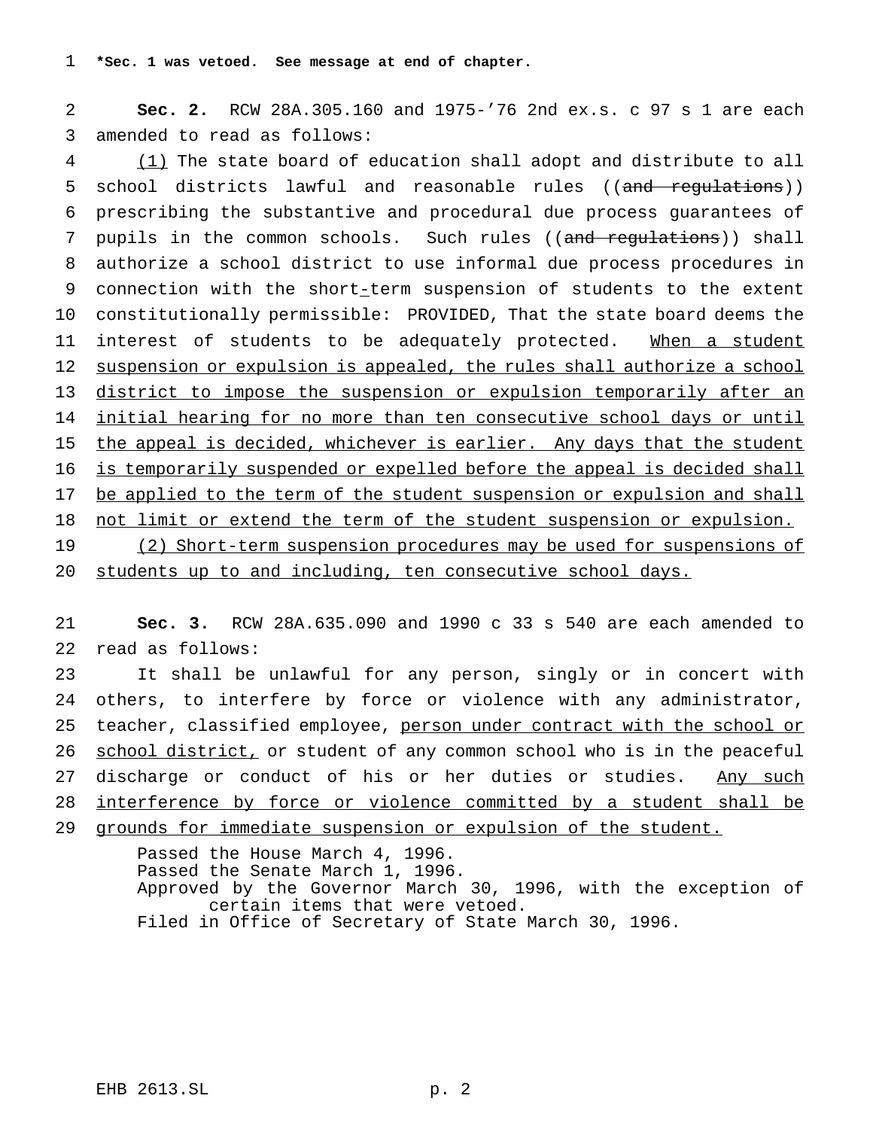2 **Sec. 2.** RCW 28A.305.160 and 1975-'76 2nd ex.s. c 97 s 1 are each 3 amended to read as follows:

4 (1) The state board of education shall adopt and distribute to all 5 school districts lawful and reasonable rules ((and regulations)) 6 prescribing the substantive and procedural due process guarantees of 7 pupils in the common schools. Such rules ((and requiations)) shall 8 authorize a school district to use informal due process procedures in 9 connection with the short-term suspension of students to the extent 10 constitutionally permissible: PROVIDED, That the state board deems the 11 interest of students to be adequately protected. When a student 12 suspension or expulsion is appealed, the rules shall authorize a school 13 district to impose the suspension or expulsion temporarily after an 14 initial hearing for no more than ten consecutive school days or until 15 the appeal is decided, whichever is earlier. Any days that the student 16 is temporarily suspended or expelled before the appeal is decided shall 17 be applied to the term of the student suspension or expulsion and shall 18 not limit or extend the term of the student suspension or expulsion. 19 (2) Short-term suspension procedures may be used for suspensions of

20 students up to and including, ten consecutive school days.

21 **Sec. 3.** RCW 28A.635.090 and 1990 c 33 s 540 are each amended to 22 read as follows:

 It shall be unlawful for any person, singly or in concert with others, to interfere by force or violence with any administrator, 25 teacher, classified employee, person under contract with the school or 26 school district, or student of any common school who is in the peaceful discharge or conduct of his or her duties or studies. Any such interference by force or violence committed by a student shall be grounds for immediate suspension or expulsion of the student.

> Passed the House March 4, 1996. Passed the Senate March 1, 1996. Approved by the Governor March 30, 1996, with the exception of certain items that were vetoed. Filed in Office of Secretary of State March 30, 1996.